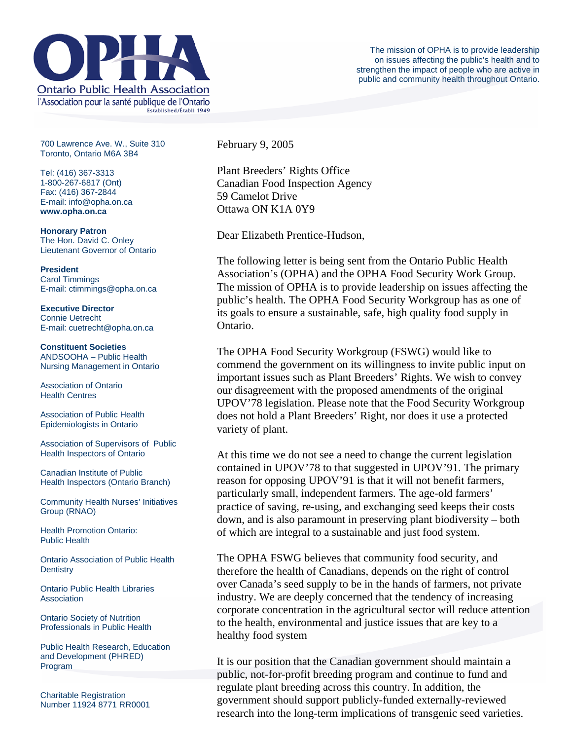

700 Lawrence Ave. W., Suite 310 Toronto, Ontario M6A 3B4

Tel: (416) 367-3313 1-800-267-6817 (Ont) Fax: (416) 367-2844 E-mail: info@opha.on.ca **www.opha.on.ca** 

**Honorary Patron**  The Hon. David C. Onley Lieutenant Governor of Ontario

**President**  Carol Timmings E-mail: ctimmings@opha.on.ca

**Executive Director**  Connie Uetrecht E-mail: cuetrecht@opha.on.ca

**Constituent Societies**  ANDSOOHA – Public Health Nursing Management in Ontario

Association of Ontario Health Centres

Association of Public Health Epidemiologists in Ontario

Association of Supervisors of Public Health Inspectors of Ontario

Canadian Institute of Public Health Inspectors (Ontario Branch)

Community Health Nurses' Initiatives Group (RNAO)

Health Promotion Ontario: Public Health

Ontario Association of Public Health **Dentistry** 

Ontario Public Health Libraries **Association** 

Ontario Society of Nutrition Professionals in Public Health

Public Health Research, Education and Development (PHRED) Program

Charitable Registration Number 11924 8771 RR0001 February 9, 2005

Plant Breeders' Rights Office Canadian Food Inspection Agency 59 Camelot Drive Ottawa ON K1A 0Y9

Dear Elizabeth Prentice-Hudson,

The following letter is being sent from the Ontario Public Health Association's (OPHA) and the OPHA Food Security Work Group. The mission of OPHA is to provide leadership on issues affecting the public's health. The OPHA Food Security Workgroup has as one of its goals to ensure a sustainable, safe, high quality food supply in Ontario.

The OPHA Food Security Workgroup (FSWG) would like to commend the government on its willingness to invite public input on important issues such as Plant Breeders' Rights. We wish to convey our disagreement with the proposed amendments of the original UPOV'78 legislation. Please note that the Food Security Workgroup does not hold a Plant Breeders' Right, nor does it use a protected variety of plant.

At this time we do not see a need to change the current legislation contained in UPOV'78 to that suggested in UPOV'91. The primary reason for opposing UPOV'91 is that it will not benefit farmers, particularly small, independent farmers. The age-old farmers' practice of saving, re-using, and exchanging seed keeps their costs down, and is also paramount in preserving plant biodiversity – both of which are integral to a sustainable and just food system.

The OPHA FSWG believes that community food security, and therefore the health of Canadians, depends on the right of control over Canada's seed supply to be in the hands of farmers, not private industry. We are deeply concerned that the tendency of increasing corporate concentration in the agricultural sector will reduce attention to the health, environmental and justice issues that are key to a healthy food system

It is our position that the Canadian government should maintain a public, not-for-profit breeding program and continue to fund and regulate plant breeding across this country. In addition, the government should support publicly-funded externally-reviewed research into the long-term implications of transgenic seed varieties.